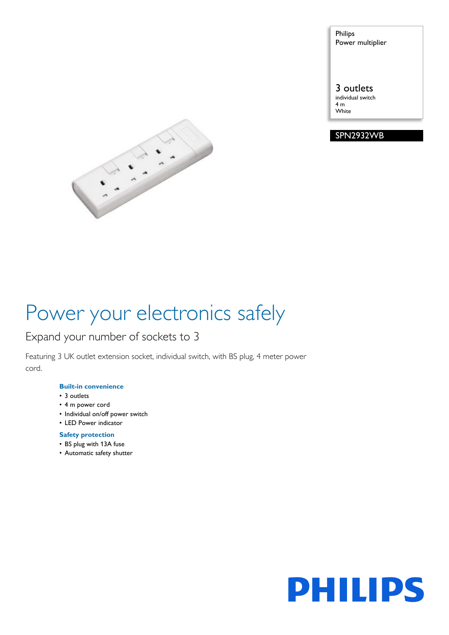Philips Power multiplier

3 outlets individual switch

4 m White





# Power your electronics safely

### Expand your number of sockets to 3

Featuring 3 UK outlet extension socket, individual switch, with BS plug, 4 meter power cord.

#### **Built-in convenience**

- 3 outlets
- 4 m power cord
- Individual on/off power switch
- LED Power indicator

#### **Safety protection**

- BS plug with 13A fuse
- Automatic safety shutter